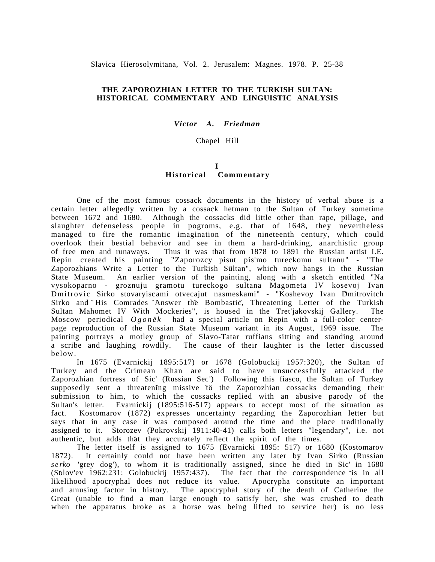Slavica Hierosolymitana, Vol. 2. Jerusalem: Magnes. 1978. P. 25-38

#### **THE ZAPOROZHIAN LETTER TO THE TURKISH SULTAN: HISTORICAL COMMENTARY AND LINGUISTIC ANALYSIS**

*Victor A. Friedman*

#### Chapel Hill

#### **I Historical Commentary**

One of the most famous cossack documents in the history of verbal abuse is a certain letter allegedly written by a cossack hetman to the Sultan of Turkey sometime between 1672 and 1680. Although the cossacks did little other than rape, pillage, and slaughter defenseless people in pogroms, e.g. that of 1648, they nevertheless managed to fire the romantic imagination of the nineteenth century, which could overlook their bestial behavior and see in them a hard-drinking, anarchistic group of free men and runaways. Thus it was that from 1878 to 1891 the Russian artist I.E. Repin created his painting "Zaporozcy pisut pis'mo tureckomu sultanu" - "The Zaporozhians Write a Letter to the Turkish Sultan", which now hangs in the Russian State Museum. An earlier version of the painting, along with a sketch entitled "Na vysokoparno - groznuju gramotu tureckogo sultana Magometa IV kosevoj Ivan Dmitrovic Sirko stovaryiscami otvecajut nasmeskami" - "Koshevoy Ivan Dmitrovitch Sirko and His Comrades Answer the Bombastic, Threatening Letter of the Turkish Sultan Mahomet IV With Mockeries", is housed in the Tret'jakovskij Gallery. The Moscow periodical  $Oqon\ddot{e}k$  had a special article on Repin with a full-color centerhad a special article on Repin with a full-color centerpage reproduction of the Russian State Museum variant in its August, 1969 issue. The painting portrays a motley group of Slavo-Tatar ruffians sitting and standing around a scribe and laughing rowdily. The cause of their laughter is the letter discussed below.

In 1675 (Evarnickij 1895:517) or 1678 (Golobuckij 1957:320), the Sultan of Turkey and the Crimean Khan are said to have unsuccessfully attacked the Zaporozhian fortress of Sic' (Russian Sec<sup>'</sup>) Following this fiasco, the Sultan of Turkey supposedly sent a threatening missive to the Zaporozhian cossacks demanding their submission to him, to which the cossacks replied with an abusive parody of the Sultan's letter. Evarnickij (1895:516-517) appears to accept most of the situation as fact. Kostomarov (1872) expresses uncertainty regarding the Zaporozhian letter but says that in any case it was composed around the time and the place traditionally assigned to it. Storozev (Pokrovskij 1911:40-41) calls both letters "legendary", i.e. not authentic, but adds that they accurately reflect the spirit of the times.

The letter itself is assigned to 1675 (Evarnicki 1895: 517) or 1680 (Kostomarov 1872). It certainly could not have been written any later by Ivan Sirko (Russian *serko* 'grey dog'), to whom it is traditionally assigned, since he died in Sic<sup>'</sup> in 1680  $(S\delta$ lov'ev 1962:231: Golobuckij 1957:437). The fact that the correspondence is in all likelihood apocryphal does not reduce its value. Apocrypha constitute an important and amusing factor in history. The apocryphal story of the death of Catherine the Great (unable to find a man large enough to satisfy her, she was crushed to death when the apparatus broke as a horse was being lifted to service her) is no less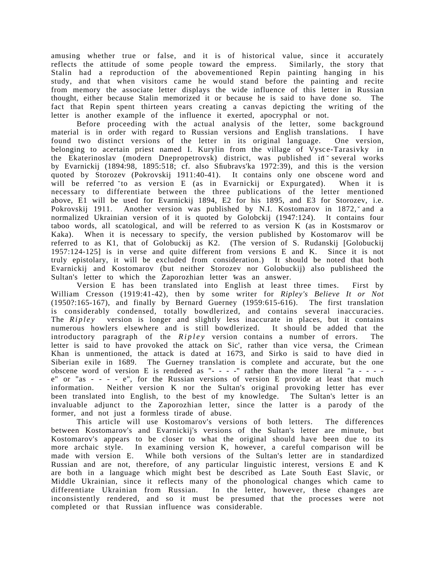amusing whether true or false, and it is of historical value, since it accurately reflects the attitude of some people toward the empress. Similarly, the story that Stalin had a reproduction of the abovementioned Repin painting hanging in his study, and that when visitors came he would stand before the painting and recite from memory the associate letter displays the wide influence of this letter in Russian thought, either because Stalin memorized it or because he is said to have done so. The fact that Repin spent thirteen years creating a canvas depicting the writing of the letter is another example of the influence it exerted, apocryphal or not.

Before proceeding with the actual analysis of the letter, some background material is in order with regard to Russian versions and English translations. I have found two distinct versions of the letter in its original language. One version, belonging to acertain priest named I. Kurylin from the village of  $\overline{V}$ ysce-Tarasivky in the Ekaterinoslav (modern Dnepropetrovsk) district, was published in several works by Evarnickij (1894:98, 1895:518; cf. also Sfiubravs'ka 1972:39), and this is the version quoted by Storozev (Pokrovskij 1911:40-41). It contains only one obscene word and will be referred to as version E (as in Evarnickij or Expurgated). When it is necessary to differentiate between the three publications of the letter mentioned above, E1 will be used for Evarnickij 1894, E2 for his 1895, and E3 for Storozev, i.e. Pokrovskij 1911. Another version was published by N.I. Kostomarov in 1872, and a normalized Ukrainian version of it is quoted by Golobckij (1947:124). It contains four taboo words, all scatological, and will be referred to as version K (as in Kostsmarov or Kaka). When it is necessary to specify, the version published by Kostomarov will be referred to as K1, that of Golobuckij as K2. (The version of S. Rudanskij [Golobuckij 1957:124-125] is in verse and quite different from versions E and K. Since it is not truly epistolary, it will be excluded from consideration.) It should be noted that both Evarnickij and Kostomarov (but neither Storozev nor Golobuckij) also publisheed the Sultan's letter to which the Zaporozhian letter was an answer.

Version E has been translated into English at least three times. First by William Cresson (1919:41-42), then by some writer for *Ripley's Believe It or Not* (1950?:165-167), and finally by Bernard Guerney (1959:615-616). The first translation is considerably condensed, totally bowdlerized, and contains several inaccuracies. The *Ripley* version is longer and slightly less inaccurate in places, but it contains numerous howlers elsewhere and is still bowdlerized. It should be added that the introductory paragraph of the *Ripley* version contains a number of errors. The letter is said to have provoked the attack on Sic', rather than vice versa, the Crimean Khan is unmentioned, the attack is dated at 1673, and Sirko is said to have died in Siberian exile in 1689. The Guerney translation is complete and accurate, but the one obscene word of version E is rendered as "- - - -" rather than the more literal "a - - - e" or "as - - - - e", for the Russian versions of version E provide at least that much information. Neither version K nor the Sultan's original provoking letter has ever been translated into English, to the best of my knowledge. The Sultan's letter is an invaluable adjunct to the Zaporozhian letter, since the latter is a parody of the former, and not just a formless tirade of abuse.

This article will use Kostomarov's versions of both letters. The differences between Kostomarov's and Evarnickij's versions of the Sultan's letter are minute, but Kostomarov's appears to be closer to what the original should have been due to its more archaic style. In examining version K, however, a careful comparison will be made with version E. While both versions of the Sultan's letter are in standardized Russian and are not, therefore, of any particular linguistic interest, versions E and K are both in a language which might best be described as Late South East Slavic, or Middle Ukrainian, since it reflects many of the phonological changes which came to differentiate Ukrainian from Russian. In the letter, however, these changes are inconsistently rendered, and so it must be presumed that the processes were not completed or that Russian influence was considerable.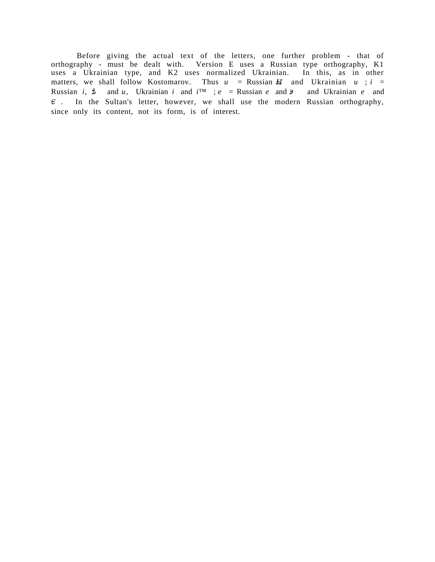Before giving the actual text of the letters, one further problem - that of orthography - must be dealt with. Version E uses a Russian type orthography, K1 uses a Ukrainian type, and K2 uses normalized Ukrainian. In this, as in other matters, we shall follow Kostomarov. Thus  $u =$  Russian  $H$  and Ukrainian  $u$ ;  $i =$ Russian *i*,  $\dot{\mathbf{z}}$  and *u*, Ukrainian *i* and  $i^{\text{TM}}$ ; *e* = Russian *e* and  $\mathbf{z}$  and Ukrainian *e* and  $\epsilon$  In the Sultan's letter, however, we shall use the modern Russian orthography, since only its content, not its form, is of interest.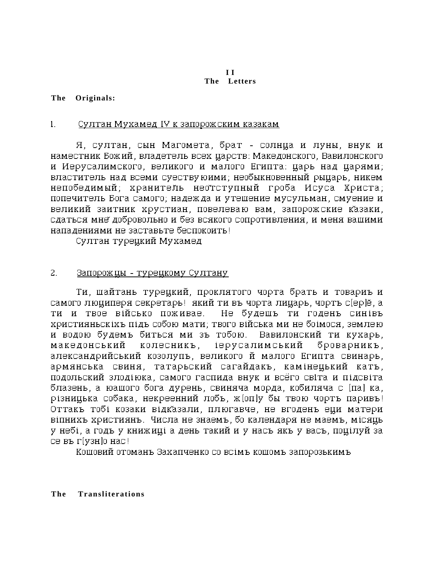#### **I I The Letters**

**The Originals:**

# 1. Султан Мухамед IV к запорожским казакам

Я, султан, сын Магомета, брат - солнца и луны, внук и наместник Божий, владетель всех царств: Македонского, Вавилонского и Иерусалимского, великого и малого Египта: царь над царями; властитель над всеми суествуюими; необыкновенный рыцарь, никем непобедимый; хранитейь неотступный гроба Исуса Христа; попечитель Бога самого; надежда и утешение мусульман, смуение и великий заитник хрустиан, повелеваю вам, запорожские казаки, сдаться мне добровольно и без всякого сопротивления, и меня вашими нападениями не заставьте беспокоить!

Султан турецкий Мухамед

# 2. Запорожцы - турецкому Султану

Ти, шайтань турецкий, проклятого чорта брать и товариъ и самого люциперя секретарь! який ти въ чорта лицарь, чортъ с[ep]ĕ, a ти и твое військо поживае. Не будешъ ти годенъ синівъ християньскіхъ підъ собою мати; твого війська ми не боімося, землею и водою будемъ биться ми зъ тобою. Вавилонский ти кухарь, македонський колесникъ, іерусалимський броварникъ, александрийський козолупъ, великого й малого Египта свинарь, армянська свиня, татарьский сагайдакъ, камінецький катъ, подольский злодіюка, самого гаспида внук и всёго світа и підсвіта блазень, а юашого бога дурень, свиняча морда, кобиляча с [па] ка, різницька собака, некреенний лобъ, ж[оп]у бы твою чортъ паривъ! Оттакъ тобі козаки відказали, плюгавче, не вгоденъ еци матери віпнихъ християнъ. Числа не знаемъ, бо календаря не маемъ, місяць у небі, а годъ у книжиціа день такий и у насъ якъ у васъ, поцілуй за се въ г[узн]о нас!!

Кошовий отоманъ Захапченко со всімъ кошомъ запорозькимъ

# **The Transliterations**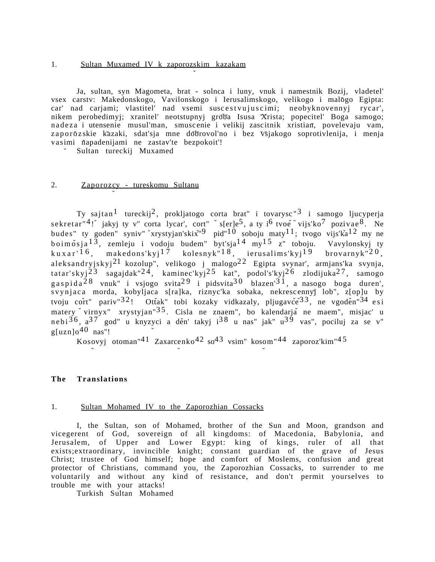#### 1. Sultan Muxamed IV k zaporozskim kazakam

Ja, sultan, syn Magometa, brat - solnca i luny, vnuk i namestnik Bozij, vladetel' vsex carstv: Makedonskogo, Vavilonskogo i Ierusalimskogo, velikogo i malogo Egipta: car' nad carjami; vlastitel' nad vsemi suscestvujuscimi; neobyknovennyj rycar', nikem perobedimyj; xranitel' neotstupnyj groba Isusa Xrista; popecitel' Boga samogo; nadeza i utensenie musul'man, smuscenie i velikij zascitnik xristian, povelevaju vam, zaporoz skie kazaki, sdat'sja mne dobrovol'no i bez všjakogo soprotivlenija, i menja vasimi ňapadenijami ne zastav'te bezpokoit'!

Sultan tureckij Muxamed

# 2. Zaporozcy - tureskomu Sultanu

Ty sajtan<sup>1</sup> tureckij<sup>2</sup>, prokljatogo corta brat" i tovarysc<sup>"3</sup> i samogo ljucyperja sekretar"<sup>4</sup>! jakyj ty v" corta lycar', cort" `s[er]e<sup>5</sup>, a ty i<sup>6</sup> tvoe `vijs'ko<sup>7</sup> pozivae<sup>8</sup>. Ne budes" ty goden" syniv" xrystyjan'skix<sup>"9</sup> pid"<sup>10</sup> soboju maty<sup>11</sup>; tvogo vijs'ka<sup>12</sup> my ne boimosja $^{13}$ , zemleju i vodoju budem" byt'sja $^{14}$  my $^{15}$  z" toboju. Vavylonskyj ty kuxar'<sup>16</sup>, makedons'kyj<sup>17</sup> kolesnyk"<sup>18</sup>, ierusalims'kyj<sup>19</sup> brovarnyk"<sup>20</sup>, aleksandryjskyj<sup>21</sup> kozolup", velikogo j malogo<sup>22</sup> Egipta svynar', armjans'ka svynja, tatar'skyj $^{23}$  sagajdak" $^{24}$ , kaminec'kyj $^{25}$  kat", podol's'kyj $^{26}$  zlodijuka $^{27}$ , samogo gaspida $^{28}$  vnuk" i vsjogo svita $^{29}$  i pidsvita $^{30}$  blazen' $^{31}$ , a nasogo boga duren', svynjaca morda, kobyljaca s[ra]ka, riznyc'ka sobaka, nekrescennyj lob", z[op]u by tvoju cořt" pariv"<sup>32</sup>! Otťak" tobi kozaky vidkazaly, pljugavče<sup>33</sup>, ne vgoden<sup>"34</sup> esi matery virnyx" xrystyjan"<sup>35</sup>. Cisla ne znaem", bo kalendarja ne maem", misjac' u nebi $36$ ,  $a^{37}$  god" u knyzyci a děn' takyj  $i^{38}$  u nas" jak"  $u^{39}$  vas", pociluj za se v"  $g[uzn]o<sup>40</sup>$  nas"!

Kosovyj otoman"<sup>41</sup> Zaxarcenko<sup>42</sup> so<sup>43</sup> vsim" kosom"<sup>44</sup> zaporoz'kim"<sup>45</sup>

#### **The Translations**

#### 1. Sultan Mohamed IV to the Zaporozhian Cossacks

I, the Sultan, son of Mohamed, brother of the Sun and Moon, grandson and vicegerent of God, sovereign of all kingdoms: of Macedonia, Babylonia, and Jerusalem, of Upper and Lower Egypt: king of kings, ruler of all that exists;extraordinary, invincible knight; constant guardian of the grave of Jesus Christ; trustee of God himself; hope and comfort of Moslems, confusion and great protector of Christians, command you, the Zaporozhian Cossacks, to surrender to me voluntarily and without any kind of resistance, and don't permit yourselves to trouble me with your attacks!

Turkish Sultan Mohamed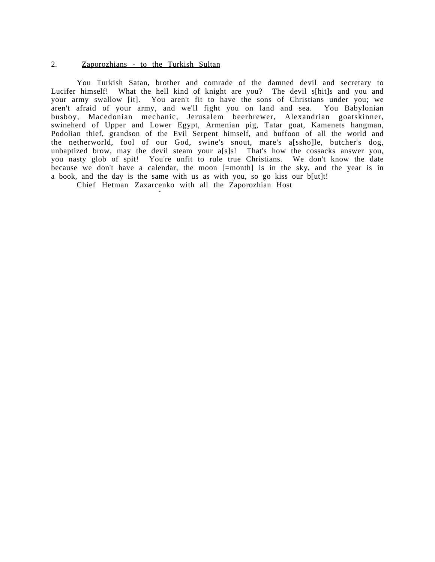#### 2. Zaporozhians - to the Turkish Sultan

You Turkish Satan, brother and comrade of the damned devil and secretary to Lucifer himself! What the hell kind of knight are you? The devil s[hit]s and you and your army swallow [it]. You aren't fit to have the sons of Christians under you; we aren't afraid of your army, and we'll fight you on land and sea. You Babylonian busboy, Macedonian mechanic, Jerusalem beerbrewer, Alexandrian goatskinner, swineherd of Upper and Lower Egypt, Armenian pig, Tatar goat, Kamenets hangman, Podolian thief, grandson of the Evil Serpent himself, and buffoon of all the world and the netherworld, fool of our God, swine's snout, mare's a[ssho]le, butcher's dog, unbaptized brow, may the devil steam your a[s]s! That's how the cossacks answer you, you nasty glob of spit! You're unfit to rule true Christians. We don't know the date because we don't have a calendar, the moon [=month] is in the sky, and the year is in a book, and the day is the same with us as with you, so go kiss our b[ut]t!

Chief Hetman Zaxarcenko with all the Zaporozhian Host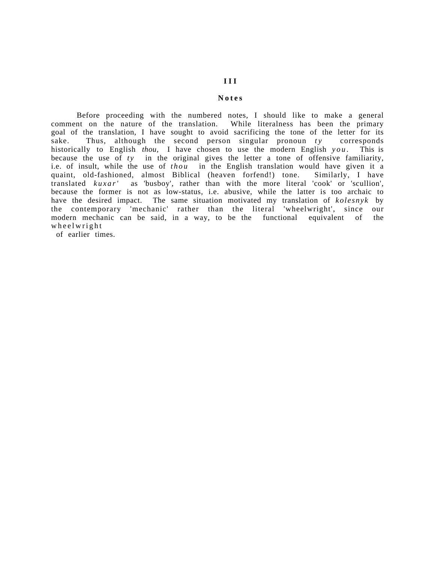# **Notes**

Before proceeding with the numbered notes, I should like to make a general comment on the nature of the translation. While literalness has been the primary goal of the translation, I have sought to avoid sacrificing the tone of the letter for its sake. Thus, although the second person singular pronoun  $ty$  corresponds historically to English *thou,* I have chosen to use the modern English *you* . This is because the use of *ty* in the original gives the letter a tone of offensive familiarity, i.e. of insult, while the use of *thou* in the English translation would have given it a quaint, old-fashioned, almost Biblical (heaven forfend!) tone. Similarly, I have translated *kuxar'* as 'busboy', rather than with the more literal 'cook' or 'scullion', because the former is not as low-status, i.e. abusive, while the latter is too archaic to have the desired impact. The same situation motivated my translation of *kolesnyk* by the contemporary 'mechanic' rather than the literal 'wheelwright', since our modern mechanic can be said, in a way, to be the functional equivalent of the wheelwright

of earlier times.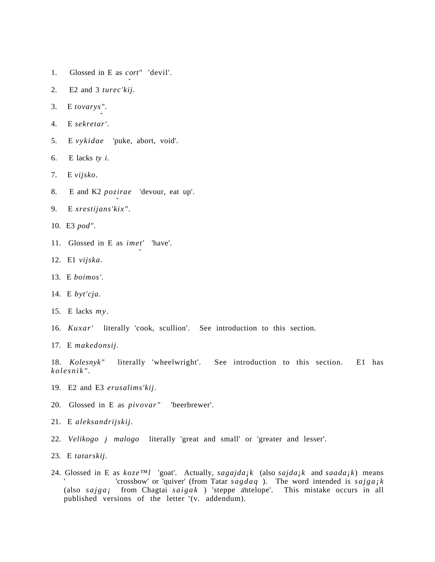- 1. Glossed in E as  $cort''$  'devil'.
- 2. E2 and 3 *turec'kij.*
- 3. E *tovarys*ˆ*"*.
- 4. E *sekretar'*.
- 5. E *vykidae* 'puke, abort, void'.
- 6. E lacks *ty i*.
- 7. E *vijsko*.
- 8. E and K2 *poz*ˆ*irae* 'devour, eat up'.
- 9. E *xrestijans'kix"*.
- 10. E3 *pod"*.
- 11. Glossed in E as  $\iint$  'have'.
- 12. E1 *vijska.*
- 13. E *boimos'.*
- 14. E *byt'cja.*
- 15. E lacks *my.*
- 16. *Kuxar'* literally 'cook, scullion'. See introduction to this section.
- 17. E *makedonsij.*

18. *Kolesnyk"* literally 'wheelwright'. See introduction to this section. E1 has *kolesnik".*

- 19. E2 and E3 *erusalims'kij.*
- 20. Glossed in E as *pivovar"* 'beerbrewer'.
- 21. E *aleksandrijskij.*
- 22. *Velikogo j malogo* literally 'great and small' or 'greater and lesser'.
- 23. E *tatarskij.*
- 24. Glossed in E as *koze™l* 'goat'. Actually, *sagajda¡k* (also *sajda¡k* and *saada¡k*) means ' crossbow' or 'quiver' (from Tatar  $sagdaq$ ). The word intended is  $sajgajk$ (also *sajga<sub>i</sub>* from Chagtai *saigak*) 'steppe antelope'. This mistake occurs in all published versions of the letter '(v. addendum).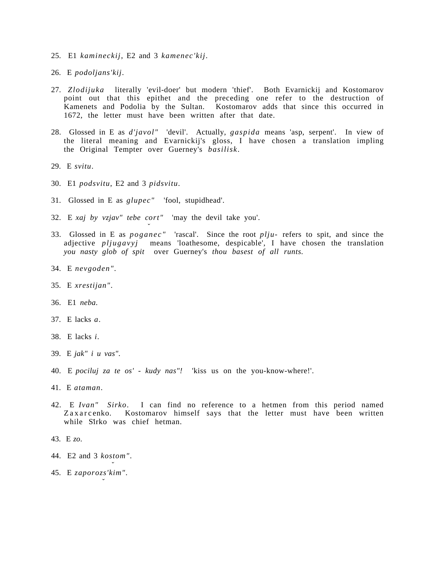- 25. E1 *kamineckij*, E2 and 3 *kamenec'kij*.
- 26. E *podoljans'kij*.
- 27. *Zlodijuka* literally 'evil-doer' but modern 'thief'. Both Evarnickij and Kostomarov point out that this epithet and the preceding one refer to the destruction of Kamenets and Podolia by the Sultan. Kostomarov adds that since this occurred in 1672, the letter must have been written after that date.
- 28. Glossed in E as *d'javol"* 'devil'. Actually, *gaspida* means 'asp, serpent'. In view of the literal meaning and Evarnickij's gloss, I have chosen a translation impling the Original Tempter over Guerney's *basilisk*.
- 29. E *svitu*.
- 30. E1 *podsvitu*, E2 and 3 *pidsvitu*.
- 31. Glossed in E as *glupec"* 'fool, stupidhead'.
- 32. E *xaj by vzjav" tebe cort"* 'may the devil take you'.
- 33. Glossed in E as *poganec"* 'rascal'. Since the root *plju-* refers to spit, and since the adjective *pljugavyj* means 'loathesome, despicable', I have chosen the translation *you nasty glob of spit* over Guerney's *thou basest of all runts.*
- 34. E *nevgoden"*.
- 35. E *xrestijan"*.
- 36. E1 *neba*.
- 37. E lacks *a*.
- 38. E lacks *i.*
- 39. E *jak" i u vas"*.
- 40. E *pociluj za te os' kudy nas"!* 'kiss us on the you-know-where!'.
- 41. E *ataman*.
- 42. E *Ivan" Sirko*. I can find no reference to a hetmen from this period named Zaxarcenko. Kostomarov himself says that the letter must have been written while Sirko was chief hetman.
- 43. E *zo*.
- 44. E2 and 3 *kos*ˆ*tom"*.
- 45. E *zaporoz*ˆ*s'kim"*.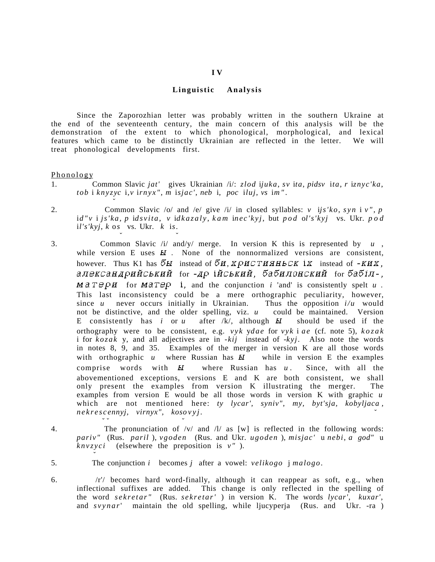#### **Linguistic Analysis**

Since the Zaporozhian letter was probably written in the southern Ukraine at the end of the seventeenth century, the main concern of this analysis will be the demonstration of the extent to which phonological, morphological, and lexical features which came to be distinctly Ukrainian are reflected in the letter. We will treat phonological developments first.

#### Phonology

- 1. Common Slavic *jat'* gives Ukrainian /i/: *zlod* i*juka*, *sv* i*ta*, *pidsv* i*ta*, *r* i*znyc'ka*, *tob* i *knyz*ˆ*yc* i,*v* i*rnyx"* , *m* i*sjac'*, *neb* i, *poc* i*luj*, *vs* i*m "* .
- 2. Common Slavic /o/ and /e/ give /i/ in closed syllables: *v* i*js'ko*, *syn* i *v "* , *p* i*d"v* i *js'ka*, *p* i*dsvita*, *v* i*dkazaly* , *kam* i*nec'kyj*, but *pod* o*l's'kyj* vs. Ukr. *pod* i*l's'kyj*, *k* o*s*ˆ vs. Ukr. *k* i*s*ˆ.
- 3. Common Slavic /i/ and/y/ merge. In version K this is represented by *u* , while version E uses  $\overline{u}$ . None of the nonnormalized versions are consistent, however. Thus K1 has  $\bar{b}$  II instead of  $\bar{b}$ H, XQHCTHHHECK **iX** instead of -KHX, александрийський for -др ійський, бабилонский for бабіл-,  $M \land T \in \mathcal{P}$  *u* for  $M \land T \in \mathcal{P}$  *i*, and the conjunction *i* 'and' is consistently spelt *u* This last inconsistency could be a mere orthographic peculiarity, however, since u never occurs initially in Ukrainian. Thus the opposition  $i/u$  would since  $u$  never occurs initially in Ukrainian. not be distinctive, and the older spelling, viz. *u* could be maintained. Version E consistently has *i* or *u* after  $/k$ , although  $kI$  should be used if the orthography were to be consistent, e.g. *vyk* y*dae* for *vyk* i *ae* (cf. note 5), *kozak* i for *kozak* y, and all adjectives are in *-kij* instead of -*kyj*. Also note the words in notes 8, 9, and 35. Examples of the merger in version K are all those words with orthographic  $u$  where Russian has  $H$  while in version E the examples comprise words with  $\overline{u}$  where Russian has  $u$ . Since, with all the abovementioned exceptions, versions E and K are both consistent, we shall only present the examples from version K illustrating the merger. The examples from version E would be all those words in version K with graphic *u* which are not mentioned here: *ty lycar'*, *syniv''*, *my*, *byt'sja*, *kobyljaca*, *nekres*ˆ*c* ˆ*ennyj, virnyx", kos*ˆ*ovyj.*
- 

4. The pronunciation of /v/ and /l/ as [w] is reflected in the following words: *pariv"* (Rus. *paril* ), *vgoden* (Rus. and Ukr. *ugoden* ), *misjac'* u *nebi*, *a god"* u  $knvzyci$  (elsewhere the preposition is  $v''$ ).

5. The conjunction *i* becomes *j* after a vowel: *velikogo* j *malogo*.

6. /r'/ becomes hard word-finally, although it can reappear as soft, e.g., when inflectional suffixes are added. This change is only reflected in the spelling of the word *sekretar"* (Rus. *sekretar'* ) in version K. The words *lycar', kuxar'*, and *svynar*' maintain the old spelling, while ljucyperja (Rus. and Ukr. -ra )

#### **I V**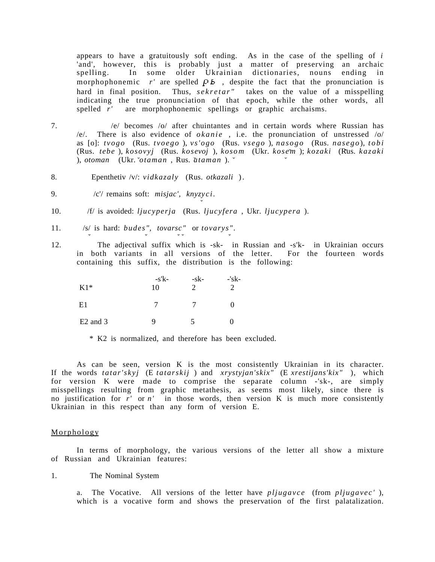appears to have a gratuitously soft ending. As in the case of the spelling of *i* 'and', however, this is probably just a matter of preserving an archaic spelling. In some older Ukrainian dictionaries, nouns ending in morphophonemic  $r'$  are spelled  $\overline{P}$   $\overline{B}$ , despite the fact that the pronunciation is hard in final position. Thus, *sekretar"* takes on the value of a misspelling indicating the true pronunciation of that epoch, while the other words, all spelled *r'* are morphophonemic spellings or graphic archaisms.

- 7. /e/ becomes /o/ after chuintantes and in certain words where Russian has /e/. There is also evidence of *okanie* , i.e. the pronunciation of unstressed /o/ as [o]: *tvogo* (Rus. *tvoego* ), *vs'ogo* (Rus. *vsego* ), *nas*ˆ*ogo* (Rus. *nas*ˆ*ego* ), *tobi* (Rus. *tebe* ), *kos*ˆ*ovyj* (Rus. *kos*ˆ*evoj* ), *kos*ˆ*o m* (Ukr. *kos*ˆ*e m* ); *kozaki* (Rus. *kazaki* ), *otoman* (Ukr. *otaman* , Rus. *ataman* ).
- 8. Epenthetiv /v/: *vidkazaly* (Rus. *otkazali* ) .
- 9. /c<sup>'</sup>/ remains soft: *misjac'*, knyzy*ci*.
- 10. /f/ is avoided: *ljucyperja* (Rus. *ljucyfera* , Ukr. *ljucypera* ).
- 11. /s/ is hard: *budes'', tovarsc''* or *tovarys''*.
- 12. The adjectival suffix which is -sk- in Russian and -s'k- in Ukrainian occurs in both variants in all versions of the letter. For the fourteen words containing this suffix, the distribution is the following:

| $K1*$      | $-s'k-$<br>10 | -sk- | -'sk- |
|------------|---------------|------|-------|
| E1         |               |      |       |
| $E2$ and 3 | g             |      |       |

\* K2 is normalized, and therefore has been excluded.

As can be seen, version K is the most consistently Ukrainian in its character. If the words *tatar'skyj* (E *tatarskij* ) and *xrystyjan'skix"* (E *xrestijans'kix"* ), which for version K were made to comprise the separate column -'sk-, are simply misspellings resulting from graphic metathesis, as seems most likely, since there is no justification for *r'* or *n'* in those words, then version K is much more consistently Ukrainian in this respect than any form of version E.

#### Morphology

In terms of morphology, the various versions of the letter all show a mixture of Russian and Ukrainian features:

#### 1. The Nominal System

a. The Vocative. All versions of the letter have *pljugavce* (from *pljugavec'*), which is a vocative form and shows the preservation of the first palatalization.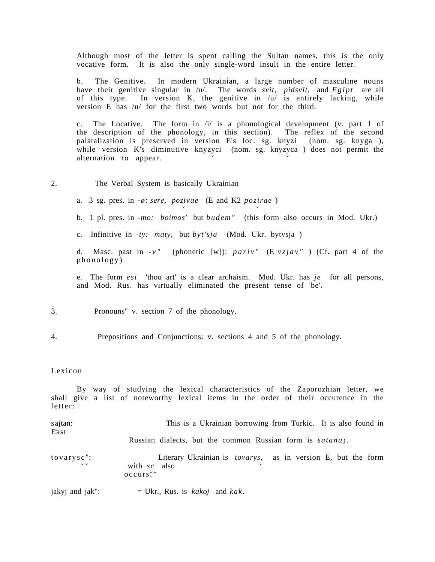Although most of the letter is spent calling the Sultan names, this is the only vocative form. It is also the only single-word insult in the entire letter.

b. The Genitive. In modern Ukrainian, a large number of masculine nouns have their genitive singular in /u/. The words *svit, pidsvit,* and *Egipt* are all of this type. In version K, the genitive in /u/ is entirely lacking, while version E has /u/ for the first two words but not for the third.

c. The Locative. The form in /i/ is a phonological development (v. part 1 of the description of the phonology, in this section). The reflex of the second palatalization is preserved in version E's loc. sg. knyzi (nom. sg. knyga ), while version K's diminutive knyzyci (nom. sg. knyzyca ) does not permit the alternation to appear.

2. The Verbal System is basically Ukrainian

a. 3 sg. pres. in *-* $\phi$ : *sere, pozivae* (E and K2 *pozirae*)

b. 1 pl. pres. in *-mo: boimos'* but *budem"* (this form also occurs in Mod. Ukr.)

c. Infinitive in *-ty: maty,* but *byt'sja* (Mod. Ukr. bytysja )

d. Masc. past in *-v"* (phonetic [w]): *pariv"* (E *vzjav"* ) (Cf. part 4 of the phonology)

e. The form *esi* 'thou art' is a clear archaism. Mod. Ukr. has *je* for all persons, and Mod. Rus. has virtually eliminated the present tense of 'be'.

3. Pronouns" v. section 7 of the phonology.

4. Prepositions and Conjunctions: v. sections 4 and 5 of the phonology.

#### Lexicon

By way of studying the lexical characteristics of the Zaporozhian letter, we shall give a list of noteworthy lexical items in the order of their occurence in the letter:

| sajtan:<br>East                  | This is a Ukrainian borrowing from Turkic. It is also found in                                    |
|----------------------------------|---------------------------------------------------------------------------------------------------|
|                                  | Russian dialects, but the common Russian form is satanaj.                                         |
| $to vary sc$ ":<br>$\vee$ $\vee$ | Literary Ukrainian is <i>tovarys</i> , as in version E, but the form<br>with $sc$ also<br>occurs. |
| jakyj and jak":                  | $=$ Ukr., Rus. is <i>kakoj</i> and <i>kak</i> .                                                   |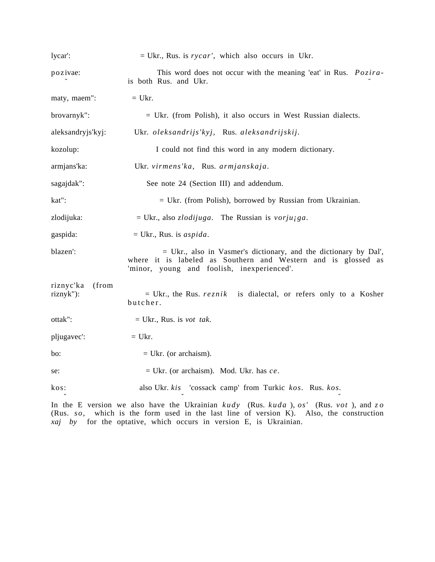| lycar':                         | $=$ Ukr., Rus. is rycar', which also occurs in Ukr.                                                                                                                             |
|---------------------------------|---------------------------------------------------------------------------------------------------------------------------------------------------------------------------------|
| pozivae:                        | This word does not occur with the meaning 'eat' in Rus. <i>Pozira-</i><br>is both Rus. and Ukr.                                                                                 |
| maty, maem":                    | $=$ Ukr.                                                                                                                                                                        |
| brovarnyk":                     | $=$ Ukr. (from Polish), it also occurs in West Russian dialects.                                                                                                                |
| aleksandryjs'kyj:               | Ukr. oleksandrijs'kyj, Rus. aleksandrijskij.                                                                                                                                    |
| kozolup:                        | I could not find this word in any modern dictionary.                                                                                                                            |
| armjans'ka:                     | Ukr. virmens'ka, Rus. armjanskaja.                                                                                                                                              |
| sagajdak":                      | See note 24 (Section III) and addendum.                                                                                                                                         |
| kat":                           | $=$ Ukr. (from Polish), borrowed by Russian from Ukrainian.                                                                                                                     |
| zlodijuka:                      | = Ukr., also <i>zlodijuga</i> . The Russian is <i>vorjujga</i> .                                                                                                                |
| gaspida:                        | $=$ Ukr., Rus. is <i>aspida</i> .                                                                                                                                               |
| blazen':                        | = Ukr., also in Vasmer's dictionary, and the dictionary by Dal',<br>where it is labeled as Southern and Western and is glossed as<br>'minor, young and foolish, inexperienced'. |
| riznyc'ka<br>(from<br>riznyk"): | = Ukr., the Rus. $reznik$ is dialectal, or refers only to a Kosher<br>butcher.                                                                                                  |
| ottak":                         | $=$ Ukr., Rus. is <i>vot tak</i> .                                                                                                                                              |
| pljugavec':                     | $=$ Ukr.                                                                                                                                                                        |
| bo:                             | $=$ Ukr. (or archaism).                                                                                                                                                         |
| se:                             | $=$ Ukr. (or archaism). Mod. Ukr. has $ce$ .                                                                                                                                    |
| kos:                            | also Ukr. kis 'cossack camp' from Turkic kos. Rus. kos.                                                                                                                         |
|                                 |                                                                                                                                                                                 |

In the E version we also have the Ukrainian *kudy* (Rus. *kuda* ), *os'* (Rus. *vot* ), and *z o* (Rus. *so*, which is the form used in the last line of version K). Also, the construction *xaj by* for the optative, which occurs in version E, is Ukrainian.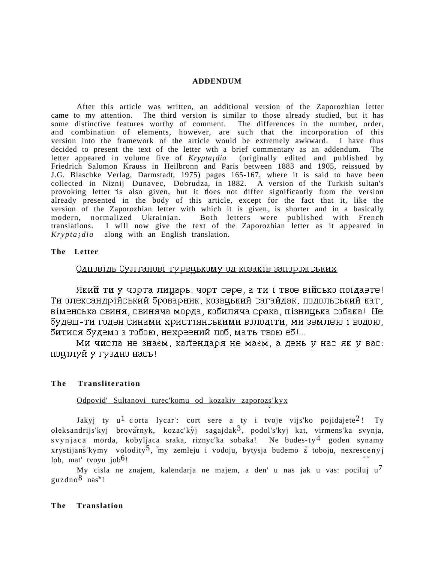#### **ADDENDUM**

After this article was written, an additional version of the Zaporozhian letter came to my attention. The third version is similar to those already studied, but it has some distinctive features worthy of comment. The differences in the number, order, and combination of elements, however, are such that the incorporation of this version into the framework of the article would be extremely awkward. I have thus decided to present the text of the letter wth a brief commentary as an addendum. The letter appeared in volume five of *Krypta¡dia* (originally edited and published by Friedrich Salomon Krauss in Heilbronn and Paris between 1883 and 1905, reissued by J.G. Blaschke Verlag, Darmstadt, 1975) pages 165-167, where it is said to have been collected in Niznij Dunavec, Dobrudza, in 1882. A version of the Turkish sultan's provoking letter is also given, but it does not differ significantly from the version already presented in the body of this article, except for the fact that it, like the version of the Zaporozhian letter with which it is given, is shorter and in a basically modern, normalized Ukrainian. Both letters were published with French translations. I will now give the text of the Zaporozhian letter as it appeared in  $Kryptajdia$  along with an English translation. along with an English translation.

#### **The Letter**

# Одповідь Султанові турецькому од козаків запорожських

Який ти у чорта лицарь: чорт сере, а ти і твое військо поідаете! Ти олександрійський броварник, козацький сагайдак, подольський кат, віменська свиня, свиняча морда, кобиляча срака, пізницька собака! Не будеш-ти годен синами христіянськими володіти, ми землею і водою, битися будемо з тобою, нехреений лоб, мать твою ёб!...

Ми числа не знаєм, календаря не маєм, а день у нас як у вас: поцілуй у гуздно насъ!

#### **The Transliteration**

# Odpovid' Sultanovi turec'komu od kozakiv zaporozs'kyx

Jakyj ty u<sup>1</sup> corta lycar': cort sere a ty i tvoje vijs'ko pojidajete<sup>2</sup>! Ty oleksandrijs'kyj brovarnyk, kozac'kyj sagajdak<sup>3</sup>, podol's'kyj kat, virmens'ka svynja, svynjaca morda, kobyljaca sraka, riznyc'ka sobaka! Ne budes-ty<sup>4</sup> goden synamy xrystijanš'kymy volodity<sup>5</sup>, my zemleju i vodoju, bytysja budemo z toboju, nexrescenyj lob, mat' tvoyu job<sup>6</sup>!

My cisla ne znajem, kalendarja ne majem, a den' u nas jak u vas: pociluj  $u^7$ guzdno8 nas"!

#### **The Translation**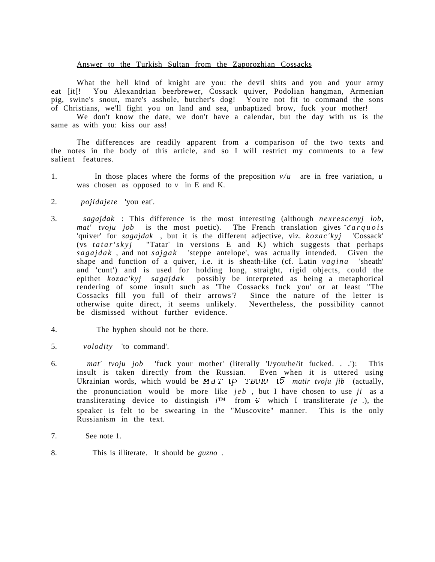#### Answer to the Turkish Sultan from the Zaporozhian Cossacks

What the hell kind of knight are you: the devil shits and you and your army eat [it[! You Alexandrian beerbrewer, Cossack quiver, Podolian hangman, Armenian pig, swine's snout, mare's asshole, butcher's dog! You're not fit to command the sons of Christians, we'll fight you on land and sea, unbaptized brow, fuck your mother!

We don't know the date, we don't have a calendar, but the day with us is the same as with you: kiss our ass!

The differences are readily apparent from a comparison of the two texts and the notes in the body of this article, and so I will restrict my comments to a few salient features.

- 1. In those places where the forms of the preposition *v/u* are in free variation, *u* was chosen as opposed to  $v$  in E and K.
- 2. *pojidajete* 'you eat'.
- 3. *sagajdak* : This difference is the most interesting (although *nexrescenyj lob*, *mat' tvoju job* is the most poetic). The French translation gives  $\check{c}arquois$ 'quiver' for *sagajdak* , but it is the different adjective, viz. *kozac'kyj* 'Cossack' (vs *tatar'skyj* "Tatar' in versions E and K) which suggests that perhaps *sagajdak* , and not *sajgak* 'steppe antelope', was actually intended. Given the shape and function of a quiver, i.e. it is sheath-like (cf. Latin *vagina* 'sheath' and 'cunt') and is used for holding long, straight, rigid objects, could the epithet *kozac'kyj sagajdak* possibly be interpreted as being a metaphorical rendering of some insult such as 'The Cossacks fuck you' or at least "The Cossacks fill you full of their arrows'? Since the nature of the letter is otherwise quite direct, it seems unlikely. Nevertheless, the possibility cannot be dismissed without further evidence.
- 4. The hyphen should not be there.
- 5. *volodity* 'to command'.
- 6. *mat' tvoju job* 'fuck your mother' (literally 'I/you/he/it fucked. . .'): This insult is taken directly from the Russian. Even when it is uttered using Ukrainian words, which would be  $MAT$   $I\rho$  **TBOH**  $I\bar{b}$  *matir tvoju jib* (actually, the pronunciation would be more like *jeb* , but I have chosen to use *ji* as a transliterating device to distingish  $i^{TM}$  from  $\epsilon$  which I transliterate  $je$  .), the speaker is felt to be swearing in the "Muscovite" manner. This is the only Russianism in the text.
- 7. See note 1.
- 8. This is illiterate. It should be *guzno* .